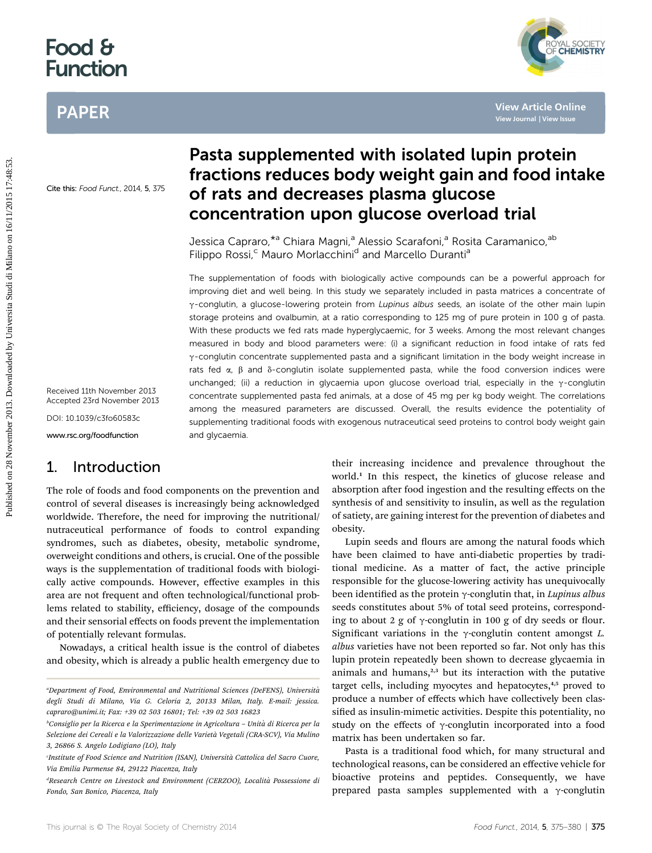# Food & Function

## PAPER



Cite this: Food Funct., 2014, 5, 375

Received 11th November 2013 Accepted 23rd November 2013

DOI: 10.1039/c3fo60583c

www.rsc.org/foodfunction

## 1. Introduction

The role of foods and food components on the prevention and control of several diseases is increasingly being acknowledged worldwide. Therefore, the need for improving the nutritional/ nutraceutical performance of foods to control expanding syndromes, such as diabetes, obesity, metabolic syndrome, overweight conditions and others, is crucial. One of the possible ways is the supplementation of traditional foods with biologically active compounds. However, effective examples in this area are not frequent and often technological/functional problems related to stability, efficiency, dosage of the compounds and their sensorial effects on foods prevent the implementation of potentially relevant formulas.

Nowadays, a critical health issue is the control of diabetes and obesity, which is already a public health emergency due to

## Pasta supplemented with isolated lupin protein fractions reduces body weight gain and food intake of rats and decreases plasma glucose concentration upon glucose overload trial

Jessica Capraro, \*a Chiara Magni, a Alessio Scarafoni, a Rosita Caramanico, ab Filippo Rossi,<sup>c</sup> Mauro Morlacchini<sup>d</sup> and Marcello Duranti<sup>a</sup>

The supplementation of foods with biologically active compounds can be a powerful approach for improving diet and well being. In this study we separately included in pasta matrices a concentrate of  $\gamma$ -conglutin, a glucose-lowering protein from Lupinus albus seeds, an isolate of the other main lupin storage proteins and ovalbumin, at a ratio corresponding to 125 mg of pure protein in 100 g of pasta. With these products we fed rats made hyperglycaemic, for 3 weeks. Among the most relevant changes measured in body and blood parameters were: (i) a significant reduction in food intake of rats fed  $\gamma$ -conglutin concentrate supplemented pasta and a significant limitation in the body weight increase in rats fed  $\alpha$ ,  $\beta$  and  $\delta$ -conglutin isolate supplemented pasta, while the food conversion indices were unchanged; (ii) a reduction in glycaemia upon glucose overload trial, especially in the  $\gamma$ -conglutin concentrate supplemented pasta fed animals, at a dose of 45 mg per kg body weight. The correlations among the measured parameters are discussed. Overall, the results evidence the potentiality of supplementing traditional foods with exogenous nutraceutical seed proteins to control body weight gain and glycaemia. PAPER<br>
Pasta supplemented with isolated lupin protein<br>
fractions reduces body weight gain and food inta<br>
distribution stress on 2014 and decreases plasma glucose<br>
Concentration upon glucose overload trial<br>
Jessica Capraco<sup></sup>

their increasing incidence and prevalence throughout the world.<sup>1</sup> In this respect, the kinetics of glucose release and absorption after food ingestion and the resulting effects on the synthesis of and sensitivity to insulin, as well as the regulation of satiety, are gaining interest for the prevention of diabetes and obesity.

Lupin seeds and flours are among the natural foods which have been claimed to have anti-diabetic properties by traditional medicine. As a matter of fact, the active principle responsible for the glucose-lowering activity has unequivocally been identified as the protein  $\gamma$ -conglutin that, in *Lupinus albus* seeds constitutes about 5% of total seed proteins, corresponding to about 2 g of  $\gamma$ -conglutin in 100 g of dry seeds or flour. Significant variations in the  $\gamma$ -conglutin content amongst L. albus varieties have not been reported so far. Not only has this lupin protein repeatedly been shown to decrease glycaemia in animals and humans, $2,3$  but its interaction with the putative target cells, including myocytes and hepatocytes,<sup>4,5</sup> proved to produce a number of effects which have collectively been classified as insulin-mimetic activities. Despite this potentiality, no study on the effects of  $\gamma$ -conglutin incorporated into a food matrix has been undertaken so far.

Pasta is a traditional food which, for many structural and technological reasons, can be considered an effective vehicle for bioactive proteins and peptides. Consequently, we have prepared pasta samples supplemented with a  $\gamma$ -conglutin

a Department of Food, Environmental and Nutritional Sciences (DeFENS), Universita` degli Studi di Milano, Via G. Celoria 2, 20133 Milan, Italy. E-mail: jessica. capraro@unimi.it; Fax: +39 02 503 16801; Tel: +39 02 503 16823

<sup>&</sup>lt;sup>ь</sup>Consiglio per la Ricerca e la Sperimentazione in Agricoltura – Unità di Ricerca per la Selezione dei Cereali e la Valorizzazione delle Varietà Vegetali (CRA-SCV), Via Mulino 3, 26866 S. Angelo Lodigiano (LO), Italy

Institute of Food Science and Nutrition (ISAN), Università Cattolica del Sacro Cuore, Via Emilia Parmense 84, 29122 Piacenza, Italy

<sup>&</sup>lt;sup>d</sup>Research Centre on Livestock and Environment (CERZOO), Località Possessione di Fondo, San Bonico, Piacenza, Italy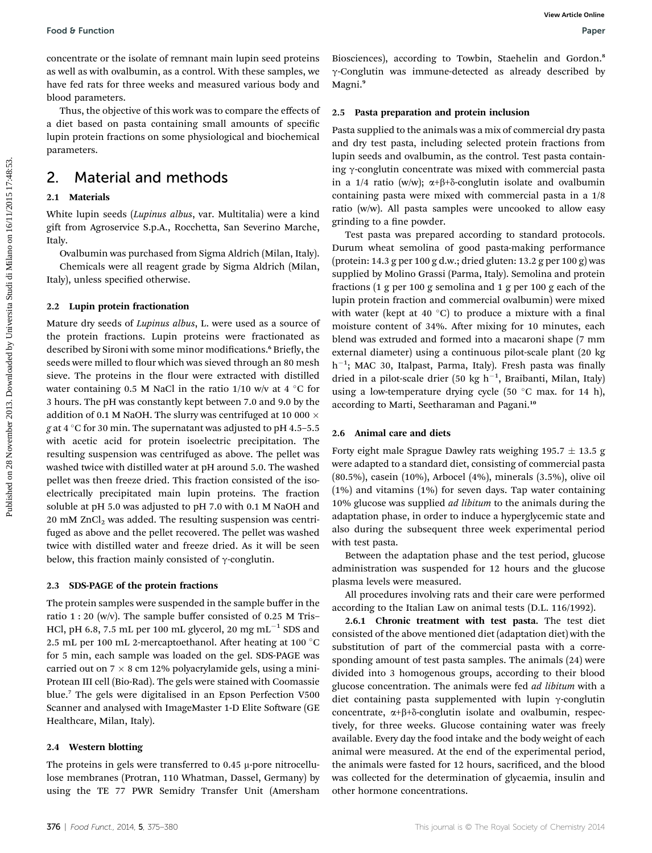concentrate or the isolate of remnant main lupin seed proteins as well as with ovalbumin, as a control. With these samples, we have fed rats for three weeks and measured various body and blood parameters.

Thus, the objective of this work was to compare the effects of a diet based on pasta containing small amounts of specific lupin protein fractions on some physiological and biochemical parameters.

## 2. Material and methods

### 2.1 Materials

White lupin seeds (Lupinus albus, var. Multitalia) were a kind gift from Agroservice S.p.A., Rocchetta, San Severino Marche, Italy.

Ovalbumin was purchased from Sigma Aldrich (Milan, Italy).

Chemicals were all reagent grade by Sigma Aldrich (Milan, Italy), unless specified otherwise.

### 2.2 Lupin protein fractionation

Mature dry seeds of Lupinus albus, L. were used as a source of the protein fractions. Lupin proteins were fractionated as described by Sironi with some minor modifications.<sup>6</sup> Briefly, the seeds were milled to flour which was sieved through an 80 mesh sieve. The proteins in the flour were extracted with distilled water containing 0.5 M NaCl in the ratio  $1/10$  w/v at 4 °C for 3 hours. The pH was constantly kept between 7.0 and 9.0 by the addition of 0.1 M NaOH. The slurry was centrifuged at 10 000  $\times$ g at 4  $\degree$ C for 30 min. The supernatant was adjusted to pH 4.5–5.5 with acetic acid for protein isoelectric precipitation. The resulting suspension was centrifuged as above. The pellet was washed twice with distilled water at pH around 5.0. The washed pellet was then freeze dried. This fraction consisted of the isoelectrically precipitated main lupin proteins. The fraction soluble at pH 5.0 was adjusted to pH 7.0 with 0.1 M NaOH and  $20 \text{ mM } ZnCl_2$  was added. The resulting suspension was centrifuged as above and the pellet recovered. The pellet was washed twice with distilled water and freeze dried. As it will be seen below, this fraction mainly consisted of  $\gamma$ -conglutin. Poote 6 Function<br>
Streetch of the state of the state of the state of the state of the state of the state of the state of the state of the state of the state of the state of the studients are soon and the studient on the s

### 2.3 SDS-PAGE of the protein fractions

The protein samples were suspended in the sample buffer in the ratio 1 : 20 (w/v). The sample buffer consisted of 0.25 M Tris– HCl, pH 6.8, 7.5 mL per 100 mL glycerol, 20 mg mL<sup>-1</sup> SDS and 2.5 mL per 100 mL 2-mercaptoethanol. After heating at 100  $^{\circ}$ C for 5 min, each sample was loaded on the gel. SDS-PAGE was carried out on  $7 \times 8$  cm 12% polyacrylamide gels, using a mini-Protean III cell (Bio-Rad). The gels were stained with Coomassie blue.<sup>7</sup> The gels were digitalised in an Epson Perfection V500 Scanner and analysed with ImageMaster 1-D Elite Software (GE Healthcare, Milan, Italy).

### 2.4 Western blotting

The proteins in gels were transferred to  $0.45 \mu$ -pore nitrocellulose membranes (Protran, 110 Whatman, Dassel, Germany) by using the TE 77 PWR Semidry Transfer Unit (Amersham

Biosciences), according to Towbin, Staehelin and Gordon.<sup>8</sup> g-Conglutin was immune-detected as already described by Magni.<sup>9</sup>

### 2.5 Pasta preparation and protein inclusion

Pasta supplied to the animals was a mix of commercial dry pasta and dry test pasta, including selected protein fractions from lupin seeds and ovalbumin, as the control. Test pasta containing  $\gamma$ -conglutin concentrate was mixed with commercial pasta in a 1/4 ratio (w/w);  $\alpha+\beta+\delta$ -conglutin isolate and ovalbumin containing pasta were mixed with commercial pasta in a 1/8 ratio (w/w). All pasta samples were uncooked to allow easy grinding to a fine powder.

Test pasta was prepared according to standard protocols. Durum wheat semolina of good pasta-making performance (protein: 14.3 g per 100 g d.w.; dried gluten: 13.2 g per 100 g) was supplied by Molino Grassi (Parma, Italy). Semolina and protein fractions (1 g per 100 g semolina and 1 g per 100 g each of the lupin protein fraction and commercial ovalbumin) were mixed with water (kept at 40 $^{\circ}$ C) to produce a mixture with a final moisture content of 34%. After mixing for 10 minutes, each blend was extruded and formed into a macaroni shape (7 mm external diameter) using a continuous pilot-scale plant (20 kg  $h^{-1}$ ; MAC 30, Italpast, Parma, Italy). Fresh pasta was finally dried in a pilot-scale drier (50 kg  $h^{-1}$ , Braibanti, Milan, Italy) using a low-temperature drying cycle (50  $^{\circ}$ C max. for 14 h), according to Marti, Seetharaman and Pagani.<sup>10</sup>

#### 2.6 Animal care and diets

Forty eight male Sprague Dawley rats weighing 195.7  $\pm$  13.5 g were adapted to a standard diet, consisting of commercial pasta (80.5%), casein (10%), Arbocel (4%), minerals (3.5%), olive oil (1%) and vitamins (1%) for seven days. Tap water containing 10% glucose was supplied *ad libitum* to the animals during the adaptation phase, in order to induce a hyperglycemic state and also during the subsequent three week experimental period with test pasta.

Between the adaptation phase and the test period, glucose administration was suspended for 12 hours and the glucose plasma levels were measured.

All procedures involving rats and their care were performed according to the Italian Law on animal tests (D.L. 116/1992).

2.6.1 Chronic treatment with test pasta. The test diet consisted of the above mentioned diet (adaptation diet) with the substitution of part of the commercial pasta with a corresponding amount of test pasta samples. The animals (24) were divided into 3 homogenous groups, according to their blood glucose concentration. The animals were fed *ad libitum* with a diet containing pasta supplemented with lupin  $\gamma$ -conglutin concentrate,  $\alpha+\beta+\delta$ -conglutin isolate and ovalbumin, respectively, for three weeks. Glucose containing water was freely available. Every day the food intake and the body weight of each animal were measured. At the end of the experimental period, the animals were fasted for 12 hours, sacrificed, and the blood was collected for the determination of glycaemia, insulin and other hormone concentrations.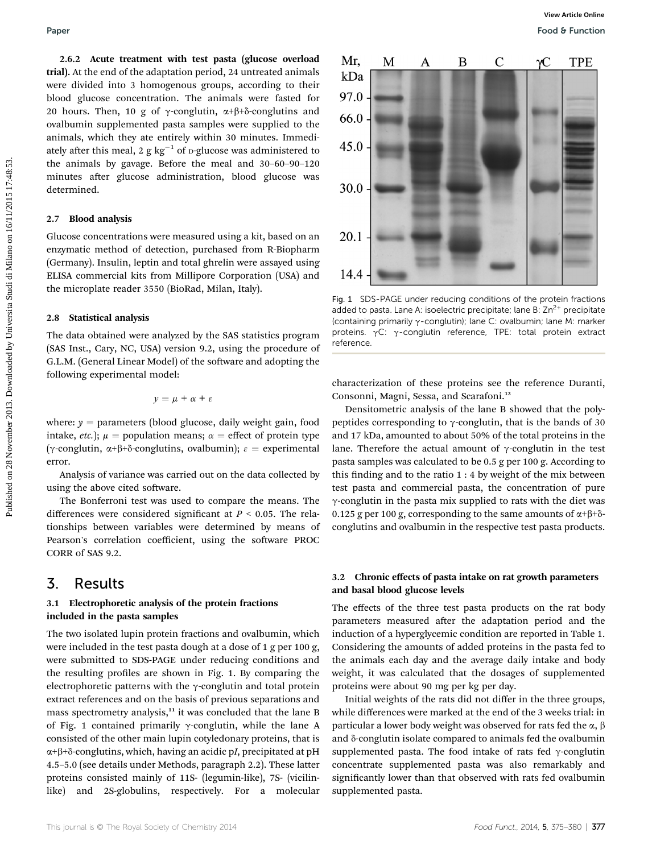2.6.2 Acute treatment with test pasta (glucose overload trial). At the end of the adaptation period, 24 untreated animals were divided into 3 homogenous groups, according to their blood glucose concentration. The animals were fasted for 20 hours. Then, 10 g of  $\gamma$ -conglutin,  $\alpha+\beta+\delta$ -conglutins and ovalbumin supplemented pasta samples were supplied to the animals, which they ate entirely within 30 minutes. Immediately after this meal, 2 g kg<sup>-1</sup> of p-glucose was administered to the animals by gavage. Before the meal and 30–60–90–120 minutes after glucose administration, blood glucose was determined.

#### 2.7 Blood analysis

Glucose concentrations were measured using a kit, based on an enzymatic method of detection, purchased from R-Biopharm (Germany). Insulin, leptin and total ghrelin were assayed using ELISA commercial kits from Millipore Corporation (USA) and the microplate reader 3550 (BioRad, Milan, Italy).

#### 2.8 Statistical analysis

The data obtained were analyzed by the SAS statistics program (SAS Inst., Cary, NC, USA) version 9.2, using the procedure of G.L.M. (General Linear Model) of the software and adopting the following experimental model:

$$
y = \mu + \alpha + \varepsilon
$$

where:  $y =$  parameters (blood glucose, daily weight gain, food intake, *etc.*);  $\mu$  = population means;  $\alpha$  = effect of protein type ( $\gamma$ -conglutin,  $\alpha+\beta+\delta$ -conglutins, ovalbumin);  $\varepsilon$  = experimental error.

Analysis of variance was carried out on the data collected by using the above cited software.

The Bonferroni test was used to compare the means. The differences were considered significant at  $P < 0.05$ . The relationships between variables were determined by means of Pearson's correlation coefficient, using the software PROC CORR of SAS 9.2.

### 3. Results

#### 3.1 Electrophoretic analysis of the protein fractions included in the pasta samples

The two isolated lupin protein fractions and ovalbumin, which were included in the test pasta dough at a dose of 1 g per 100 g, were submitted to SDS-PAGE under reducing conditions and the resulting profiles are shown in Fig. 1. By comparing the electrophoretic patterns with the  $\gamma$ -conglutin and total protein extract references and on the basis of previous separations and mass spectrometry analysis, $11$  it was concluded that the lane B of Fig. 1 contained primarily  $\gamma$ -conglutin, while the lane A consisted of the other main lupin cotyledonary proteins, that is  $\alpha+\beta+\delta$ -conglutins, which, having an acidic pI, precipitated at pH 4.5–5.0 (see details under Methods, paragraph 2.2). These latter proteins consisted mainly of 11S- (legumin-like), 7S- (vicilinlike) and 2S-globulins, respectively. For a molecular



Fig. 1 SDS-PAGE under reducing conditions of the protein fractions added to pasta. Lane A: isoelectric precipitate; lane B:  $Zn^{2+}$  precipitate (containing primarily  $\gamma$ -conglutin); lane C: ovalbumin; lane M: marker proteins.  $\gamma C$ :  $\gamma$ -conglutin reference, TPE: total protein extract reference.

characterization of these proteins see the reference Duranti, Consonni, Magni, Sessa, and Scarafoni.<sup>12</sup>

Densitometric analysis of the lane B showed that the polypeptides corresponding to  $\gamma$ -conglutin, that is the bands of 30 and 17 kDa, amounted to about 50% of the total proteins in the lane. Therefore the actual amount of  $\gamma$ -conglutin in the test pasta samples was calculated to be 0.5 g per 100 g. According to this finding and to the ratio  $1:4$  by weight of the mix between test pasta and commercial pasta, the concentration of pure g-conglutin in the pasta mix supplied to rats with the diet was 0.125 g per 100 g, corresponding to the same amounts of  $\alpha+\beta+\delta$ conglutins and ovalbumin in the respective test pasta products.

#### 3.2 Chronic effects of pasta intake on rat growth parameters and basal blood glucose levels

The effects of the three test pasta products on the rat body parameters measured after the adaptation period and the induction of a hyperglycemic condition are reported in Table 1. Considering the amounts of added proteins in the pasta fed to the animals each day and the average daily intake and body weight, it was calculated that the dosages of supplemented proteins were about 90 mg per kg per day.

Initial weights of the rats did not differ in the three groups, while differences were marked at the end of the 3 weeks trial: in particular a lower body weight was observed for rats fed the  $\alpha$ ,  $\beta$ and  $\delta$ -conglutin isolate compared to animals fed the ovalbumin supplemented pasta. The food intake of rats fed  $\gamma$ -conglutin concentrate supplemented pasta was also remarkably and significantly lower than that observed with rats fed ovalbumin supplemented pasta.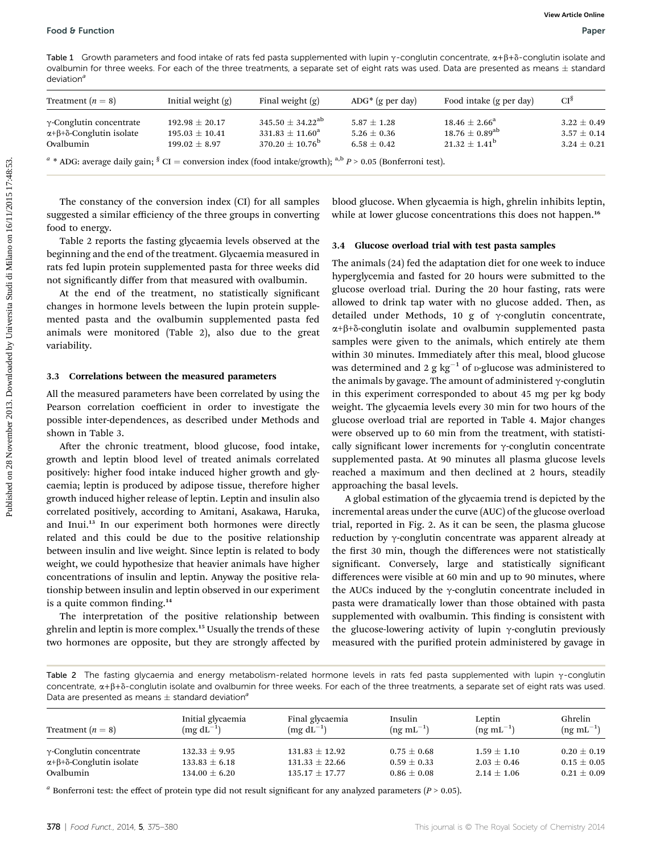Table 1 Growth parameters and food intake of rats fed pasta supplemented with lupin  $\gamma$ -conglutin concentrate,  $\alpha + \beta + \delta$ -conglutin isolate and ovalbumin for three weeks. For each of the three treatments, a separate set of eight rats was used. Data are presented as means  $\pm$  standard  $deviation<sup>a</sup>$ 

| Treatment $(n = 8)$                      | Initial weight $(g)$ | Final weight $(g)$         | $ADG^*$ (g per day) | Food intake (g per day)  | CI <sub>8</sub> |
|------------------------------------------|----------------------|----------------------------|---------------------|--------------------------|-----------------|
| $\gamma$ -Conglutin concentrate          | $192.98 + 20.17$     | $345.50 + 34.22^{ab}$      | $5.87 \pm 1.28$     | $18.46 \pm 2.66^{\rm a}$ | $3.22 \pm 0.49$ |
| $\alpha+\beta+\delta$ -Conglutin isolate | $195.03 + 10.41$     | $331.83 \pm 11.60^{\rm a}$ | $5.26 + 0.36$       | $18.76 \pm 0.89^{ab}$    | $3.57 \pm 0.14$ |
| Ovalbumin                                | $199.02 + 8.97$      | $370.20 \pm 10.76^{\rm b}$ | $6.58 \pm 0.42$     | $21.32 + 1.41^b$         | $3.24 + 0.21$   |

<sup>a</sup> \* ADG: average daily gain; <sup>§</sup> CI = conversion index (food intake/growth); <sup>a,b</sup> P > 0.05 (Bonferroni test).

The constancy of the conversion index (CI) for all samples suggested a similar efficiency of the three groups in converting food to energy.

Table 2 reports the fasting glycaemia levels observed at the beginning and the end of the treatment. Glycaemia measured in rats fed lupin protein supplemented pasta for three weeks did not signicantly differ from that measured with ovalbumin.

At the end of the treatment, no statistically signicant changes in hormone levels between the lupin protein supplemented pasta and the ovalbumin supplemented pasta fed animals were monitored (Table 2), also due to the great variability.

#### 3.3 Correlations between the measured parameters

All the measured parameters have been correlated by using the Pearson correlation coefficient in order to investigate the possible inter-dependences, as described under Methods and shown in Table 3.

After the chronic treatment, blood glucose, food intake, growth and leptin blood level of treated animals correlated positively: higher food intake induced higher growth and glycaemia; leptin is produced by adipose tissue, therefore higher growth induced higher release of leptin. Leptin and insulin also correlated positively, according to Amitani, Asakawa, Haruka, and Inui.<sup>13</sup> In our experiment both hormones were directly related and this could be due to the positive relationship between insulin and live weight. Since leptin is related to body weight, we could hypothesize that heavier animals have higher concentrations of insulin and leptin. Anyway the positive relationship between insulin and leptin observed in our experiment is a quite common finding. $14$ 

The interpretation of the positive relationship between ghrelin and leptin is more complex.<sup>15</sup> Usually the trends of these two hormones are opposite, but they are strongly affected by

blood glucose. When glycaemia is high, ghrelin inhibits leptin, while at lower glucose concentrations this does not happen.<sup>16</sup>

#### 3.4 Glucose overload trial with test pasta samples

The animals (24) fed the adaptation diet for one week to induce hyperglycemia and fasted for 20 hours were submitted to the glucose overload trial. During the 20 hour fasting, rats were allowed to drink tap water with no glucose added. Then, as detailed under Methods, 10 g of  $\gamma$ -conglutin concentrate,  $\alpha+\beta+\delta$ -conglutin isolate and ovalbumin supplemented pasta samples were given to the animals, which entirely ate them within 30 minutes. Immediately after this meal, blood glucose was determined and 2 g  $kg^{-1}$  of p-glucose was administered to the animals by gavage. The amount of administered  $\gamma$ -conglutin in this experiment corresponded to about 45 mg per kg body weight. The glycaemia levels every 30 min for two hours of the glucose overload trial are reported in Table 4. Major changes were observed up to 60 min from the treatment, with statistically significant lower increments for  $\gamma$ -conglutin concentrate supplemented pasta. At 90 minutes all plasma glucose levels reached a maximum and then declined at 2 hours, steadily approaching the basal levels. Pool 8 Function<br>
The Construction and End minis of distribution is exponential and the construction and the system on 28 November 2013. Dependent on 28 November 2013. The constraints of the constraints of the constraints

A global estimation of the glycaemia trend is depicted by the incremental areas under the curve (AUC) of the glucose overload trial, reported in Fig. 2. As it can be seen, the plasma glucose reduction by  $\gamma$ -conglutin concentrate was apparent already at the first 30 min, though the differences were not statistically significant. Conversely, large and statistically significant differences were visible at 60 min and up to 90 minutes, where the AUCs induced by the  $\gamma$ -conglutin concentrate included in pasta were dramatically lower than those obtained with pasta supplemented with ovalbumin. This finding is consistent with the glucose-lowering activity of lupin  $\gamma$ -conglutin previously measured with the purified protein administered by gavage in

Table 2 The fasting glycaemia and energy metabolism-related hormone levels in rats fed pasta supplemented with lupin  $\gamma$ -conglutin concentrate,  $\alpha+\beta+\delta$ -conglutin isolate and ovalbumin for three weeks. For each of the three treatments, a separate set of eight rats was used. Data are presented as means  $\pm$  standard deviation<sup>a</sup>

| Treatment $(n = 8)$                          | Initial glycaemia<br>$(mg dL^{-1})$ | Final glycaemia<br>$(mg dL^{-1})$ | Insulin<br>$(nq \text{ mL}^{-1})$ | Leptin<br>$(nq \text{ mL}^{-1})$ | Ghrelin<br>$(ng \text{ mL}^{-1})$ |
|----------------------------------------------|-------------------------------------|-----------------------------------|-----------------------------------|----------------------------------|-----------------------------------|
| $\gamma$ -Conglutin concentrate              | $132.33 \pm 9.95$                   | $131.83 \pm 12.92$                | $0.75 \pm 0.68$                   | $1.59 \pm 1.10$                  | $0.20 \pm 0.19$                   |
| $\alpha + \beta + \delta$ -Conglutin isolate | $133.83 \pm 6.18$                   | $131.33 \pm 22.66$                | $0.59 \pm 0.33$                   | $2.03 \pm 0.46$                  | $0.15 \pm 0.05$                   |
| Ovalbumin                                    | $134.00 \pm 6.20$                   | $135.17 \pm 17.77$                | $0.86 \pm 0.08$                   | $2.14 \pm 1.06$                  | $0.21 \pm 0.09$                   |

<sup>a</sup> Bonferroni test: the effect of protein type did not result significant for any analyzed parameters ( $P > 0.05$ ).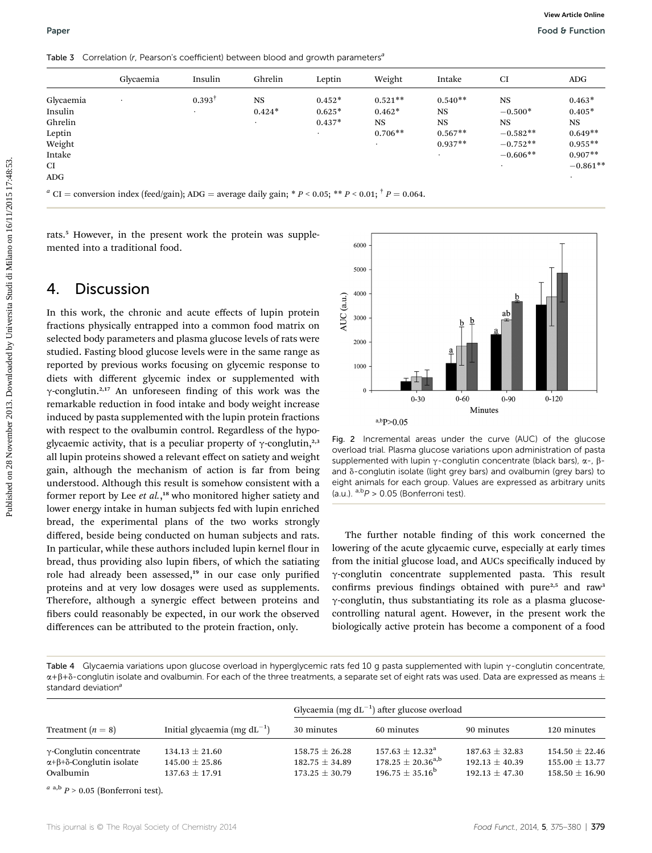Table 3 Correlation (r, Pearson's coefficient) between blood and growth parameters<sup>a</sup>

|                                                                                   | Glycaemia         | Insulin           | Ghrelin                                                                                                                                         | Leptin                           | Weight                                          | Intake                                                        | CI                                                                                                                                                                            | <b>ADG</b>                                                                               |
|-----------------------------------------------------------------------------------|-------------------|-------------------|-------------------------------------------------------------------------------------------------------------------------------------------------|----------------------------------|-------------------------------------------------|---------------------------------------------------------------|-------------------------------------------------------------------------------------------------------------------------------------------------------------------------------|------------------------------------------------------------------------------------------|
| Glycaemia<br>Insulin<br>Ghrelin<br>Leptin<br>Weight<br>Intake<br>CI<br><b>ADG</b> |                   | $0.393^{\dagger}$ | $_{\rm NS}$<br>$0.424*$                                                                                                                         | $0.452*$<br>$0.625*$<br>$0.437*$ | $0.521**$<br>$0.462*$<br><b>NS</b><br>$0.706**$ | $0.540**$<br><b>NS</b><br><b>NS</b><br>$0.567**$<br>$0.937**$ | $_{\rm NS}$<br>$-0.500*$<br><b>NS</b><br>$-0.582**$<br>$-0.752**$<br>$-0.606**$                                                                                               | $0.463*$<br>$0.405*$<br>$_{\rm NS}$<br>$0.649**$<br>$0.955**$<br>$0.907**$<br>$-0.861**$ |
| mented into a traditional food.                                                   |                   |                   | rats. <sup>5</sup> However, in the present work the protein was supple-                                                                         | 6000                             |                                                 |                                                               |                                                                                                                                                                               |                                                                                          |
| 4.                                                                                | <b>Discussion</b> |                   |                                                                                                                                                 | 5000<br>4000                     |                                                 |                                                               |                                                                                                                                                                               |                                                                                          |
|                                                                                   |                   |                   |                                                                                                                                                 |                                  |                                                 |                                                               |                                                                                                                                                                               |                                                                                          |
|                                                                                   |                   |                   | In this work, the chronic and acute effects of lupin protein                                                                                    | 3000                             |                                                 | $\underline{\mathsf{b}}$                                      | ab<br>æ                                                                                                                                                                       |                                                                                          |
|                                                                                   |                   |                   | fractions physically entrapped into a common food matrix on<br>selected body parameters and plasma glucose levels of rats were                  | AUC (a.u.)<br>2000               |                                                 | b                                                             |                                                                                                                                                                               |                                                                                          |
|                                                                                   |                   |                   | studied. Fasting blood glucose levels were in the same range as<br>reported by previous works focusing on glycemic response to                  | 1000                             |                                                 |                                                               |                                                                                                                                                                               |                                                                                          |
|                                                                                   |                   |                   | diets with different glycemic index or supplemented with                                                                                        | $\mathbf{0}$                     |                                                 |                                                               |                                                                                                                                                                               |                                                                                          |
|                                                                                   |                   |                   | $\gamma$ -conglutin. <sup>2,17</sup> An unforeseen finding of this work was the<br>remarkable reduction in food intake and body weight increase |                                  | $0 - 30$                                        | $0 - 60$                                                      | $0 - 90$<br>Minutes                                                                                                                                                           | $0 - 120$                                                                                |
|                                                                                   |                   |                   | induced by pasta supplemented with the lupin protein fractions<br>with respect to the ovalbumin control. Regardless of the hypo-                |                                  | a,bp>0.05                                       |                                                               |                                                                                                                                                                               |                                                                                          |
|                                                                                   |                   |                   | glycaemic activity, that is a peculiar property of $\gamma$ -conglutin, <sup>2,3</sup>                                                          |                                  |                                                 |                                                               | Fig. 2 Incremental areas under the curve (AUC) of the glucose<br>overload trial. Plasma glucose variations upon administration of pasta                                       |                                                                                          |
|                                                                                   |                   |                   | all lupin proteins showed a relevant effect on satiety and weight<br>gain, although the mechanism of action is far from being                   |                                  |                                                 |                                                               | supplemented with lupin $\gamma$ -conglutin concentrate (black bars), $\alpha$ -, $\beta$ -<br>and $\delta$ -conglutin isolate (light grey bars) and ovalbumin (grey bars) to |                                                                                          |
|                                                                                   |                   |                   | understood. Although this result is somehow consistent with a<br>former report by Lee et al., <sup>18</sup> who monitored higher satiety and    |                                  | (a.u.). $a,bP > 0.05$ (Bonferroni test).        |                                                               | eight animals for each group. Values are expressed as arbitrary units                                                                                                         |                                                                                          |

## 4. Discussion

In this work, the chronic and acute effects of lupin protein fractions physically entrapped into a common food matrix on selected body parameters and plasma glucose levels of rats were studied. Fasting blood glucose levels were in the same range as reported by previous works focusing on glycemic response to diets with different glycemic index or supplemented with  $\gamma$ -conglutin.<sup>2,17</sup> An unforeseen finding of this work was the remarkable reduction in food intake and body weight increase induced by pasta supplemented with the lupin protein fractions with respect to the ovalbumin control. Regardless of the hypoglycaemic activity, that is a peculiar property of  $\gamma$ -conglutin,<sup>2,3</sup> all lupin proteins showed a relevant effect on satiety and weight gain, although the mechanism of action is far from being understood. Although this result is somehow consistent with a former report by Lee et al.,<sup>18</sup> who monitored higher satiety and lower energy intake in human subjects fed with lupin enriched bread, the experimental plans of the two works strongly differed, beside being conducted on human subjects and rats. In particular, while these authors included lupin kernel flour in bread, thus providing also lupin fibers, of which the satiating role had already been assessed,<sup>19</sup> in our case only purified proteins and at very low dosages were used as supplements. Therefore, although a synergic effect between proteins and bers could reasonably be expected, in our work the observed differences can be attributed to the protein fraction, only.



Fig. 2 Incremental areas under the curve (AUC) of the glucose overload trial. Plasma glucose variations upon administration of pasta supplemented with lupin  $\gamma$ -conglutin concentrate (black bars),  $\alpha$ -,  $\beta$ and  $\delta$ -conglutin isolate (light grey bars) and ovalbumin (grey bars) to eight animals for each group. Values are expressed as arbitrary units (a.u.).  $a,b$  > 0.05 (Bonferroni test).

The further notable finding of this work concerned the lowering of the acute glycaemic curve, especially at early times from the initial glucose load, and AUCs specifically induced by g-conglutin concentrate supplemented pasta. This result confirms previous findings obtained with pure $2,5$  and raw<sup>3</sup>  $\gamma$ -conglutin, thus substantiating its role as a plasma glucosecontrolling natural agent. However, in the present work the biologically active protein has become a component of a food

Table 4 Glycaemia variations upon glucose overload in hyperglycemic rats fed 10 g pasta supplemented with lupin  $\gamma$ -conglutin concentrate,  $\alpha+\beta+\delta$ -conglutin isolate and ovalbumin. For each of the three treatments, a separate set of eight rats was used. Data are expressed as means  $\pm$ standard deviation<sup>a</sup>

|                                                                                              |                                                                | Glycaemia (mg $dL^{-1}$ ) after glucose overload               |                                                                              |                                                            |                                                                |  |  |
|----------------------------------------------------------------------------------------------|----------------------------------------------------------------|----------------------------------------------------------------|------------------------------------------------------------------------------|------------------------------------------------------------|----------------------------------------------------------------|--|--|
| Treatment $(n = 8)$                                                                          | Initial glycaemia (mg $dL^{-1}$ )                              | 30 minutes                                                     | 60 minutes                                                                   | 90 minutes                                                 | 120 minutes                                                    |  |  |
| $\gamma$ -Conglutin concentrate<br>$\alpha + \beta + \delta$ -Conglutin isolate<br>Ovalbumin | $134.13 \pm 21.60$<br>$145.00 \pm 25.86$<br>$137.63 \pm 17.91$ | $158.75 \pm 26.28$<br>$182.75 \pm 34.89$<br>$173.25 \pm 30.79$ | $157.63 \pm 12.32^{\rm a}$<br>$178.25 \pm 20.36^{a,b}$<br>$196.75 + 35.16^b$ | $187.63 \pm 32.83$<br>$192.13 + 40.39$<br>$192.13 + 47.30$ | $154.50 \pm 22.46$<br>$155.00 \pm 13.77$<br>$158.50 \pm 16.90$ |  |  |

 $a$  a,b  $P > 0.05$  (Bonferroni test).